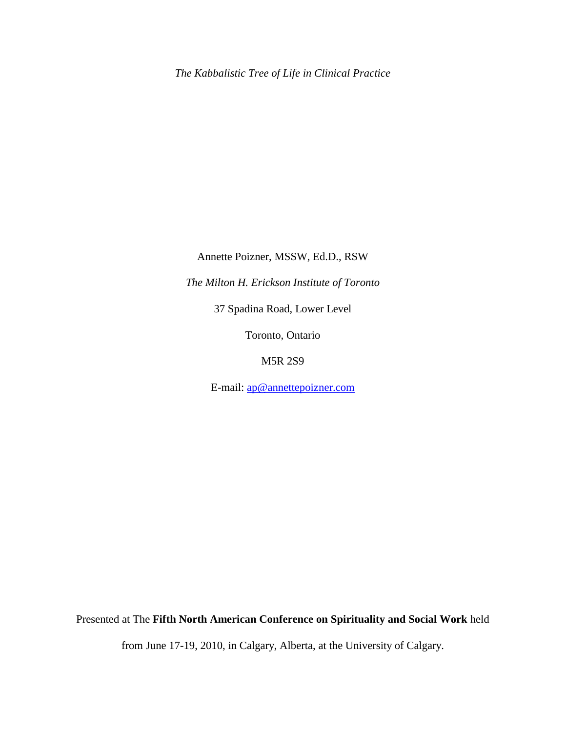Annette Poizner, MSSW, Ed.D., RSW

*The Milton H. Erickson Institute of Toronto*

37 Spadina Road, Lower Level

Toronto, Ontario

M5R 2S9

E-mail: [ap@annettepoizner.com](mailto:ap@annettepoizner.com)

Presented at The **Fifth North American Conference on Spirituality and Social Work** held

from June 17-19, 2010, in Calgary, Alberta, at the University of Calgary.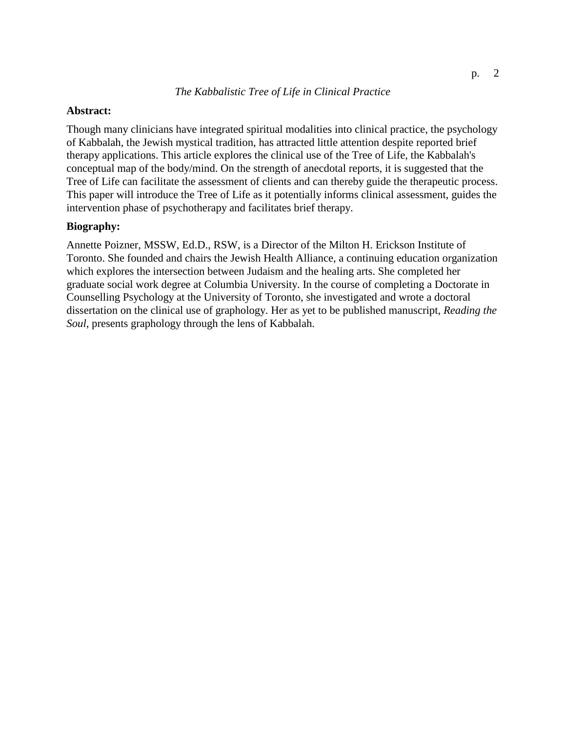# **Abstract:**

Though many clinicians have integrated spiritual modalities into clinical practice, the psychology of Kabbalah, the Jewish mystical tradition, has attracted little attention despite reported brief therapy applications. This article explores the clinical use of the Tree of Life, the Kabbalah's conceptual map of the body/mind. On the strength of anecdotal reports, it is suggested that the Tree of Life can facilitate the assessment of clients and can thereby guide the therapeutic process. This paper will introduce the Tree of Life as it potentially informs clinical assessment, guides the intervention phase of psychotherapy and facilitates brief therapy.

### **Biography:**

Annette Poizner, MSSW, Ed.D., RSW, is a Director of the Milton H. Erickson Institute of Toronto. She founded and chairs the Jewish Health Alliance, a continuing education organization which explores the intersection between Judaism and the healing arts. She completed her graduate social work degree at Columbia University. In the course of completing a Doctorate in Counselling Psychology at the University of Toronto, she investigated and wrote a doctoral dissertation on the clinical use of graphology. Her as yet to be published manuscript, *Reading the Soul*, presents graphology through the lens of Kabbalah.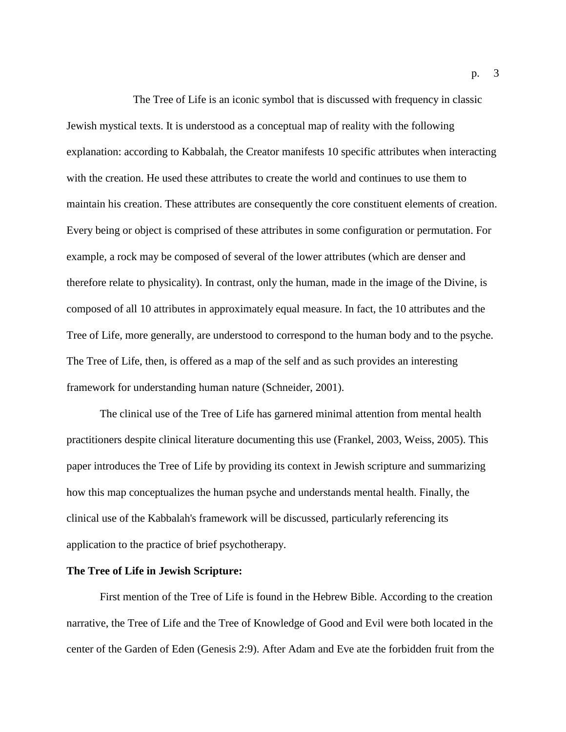The Tree of Life is an iconic symbol that is discussed with frequency in classic Jewish mystical texts. It is understood as a conceptual map of reality with the following explanation: according to Kabbalah, the Creator manifests 10 specific attributes when interacting with the creation. He used these attributes to create the world and continues to use them to maintain his creation. These attributes are consequently the core constituent elements of creation. Every being or object is comprised of these attributes in some configuration or permutation. For example, a rock may be composed of several of the lower attributes (which are denser and therefore relate to physicality). In contrast, only the human, made in the image of the Divine, is composed of all 10 attributes in approximately equal measure. In fact, the 10 attributes and the Tree of Life, more generally, are understood to correspond to the human body and to the psyche. The Tree of Life, then, is offered as a map of the self and as such provides an interesting framework for understanding human nature (Schneider, 2001).

The clinical use of the Tree of Life has garnered minimal attention from mental health practitioners despite clinical literature documenting this use (Frankel, 2003, Weiss, 2005). This paper introduces the Tree of Life by providing its context in Jewish scripture and summarizing how this map conceptualizes the human psyche and understands mental health. Finally, the clinical use of the Kabbalah's framework will be discussed, particularly referencing its application to the practice of brief psychotherapy.

### **The Tree of Life in Jewish Scripture:**

First mention of the Tree of Life is found in the Hebrew Bible. According to the creation narrative, the Tree of Life and the Tree of Knowledge of Good and Evil were both located in the center of the Garden of Eden (Genesis 2:9). After Adam and Eve ate the forbidden fruit from the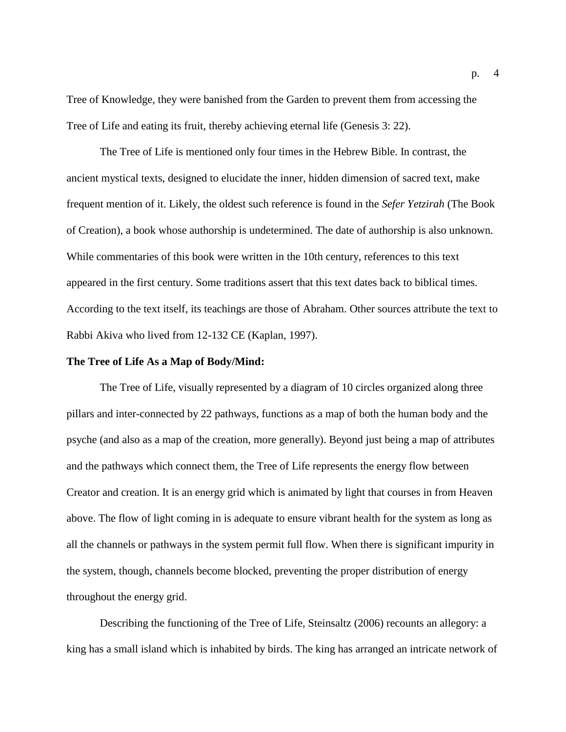Tree of Knowledge, they were banished from the Garden to prevent them from accessing the Tree of Life and eating its fruit, thereby achieving eternal life (Genesis 3: 22).

The Tree of Life is mentioned only four times in the Hebrew Bible. In contrast, the ancient mystical texts, designed to elucidate the inner, hidden dimension of sacred text, make frequent mention of it. Likely, the oldest such reference is found in the *Sefer Yetzirah* (The Book of Creation), a book whose authorship is undetermined. The date of authorship is also unknown. While commentaries of this book were written in the 10th century, references to this text appeared in the first century. Some traditions assert that this text dates back to biblical times. According to the text itself, its teachings are those of Abraham. Other sources attribute the text to Rabbi Akiva who lived from 12-132 CE (Kaplan, 1997).

#### **The Tree of Life As a Map of Body/Mind:**

The Tree of Life, visually represented by a diagram of 10 circles organized along three pillars and inter-connected by 22 pathways, functions as a map of both the human body and the psyche (and also as a map of the creation, more generally). Beyond just being a map of attributes and the pathways which connect them, the Tree of Life represents the energy flow between Creator and creation. It is an energy grid which is animated by light that courses in from Heaven above. The flow of light coming in is adequate to ensure vibrant health for the system as long as all the channels or pathways in the system permit full flow. When there is significant impurity in the system, though, channels become blocked, preventing the proper distribution of energy throughout the energy grid.

Describing the functioning of the Tree of Life, Steinsaltz (2006) recounts an allegory: a king has a small island which is inhabited by birds. The king has arranged an intricate network of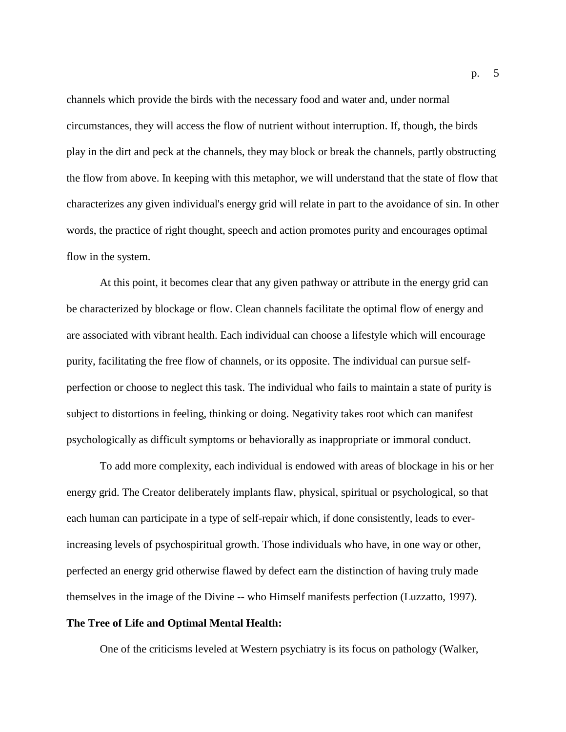channels which provide the birds with the necessary food and water and, under normal circumstances, they will access the flow of nutrient without interruption. If, though, the birds play in the dirt and peck at the channels, they may block or break the channels, partly obstructing the flow from above. In keeping with this metaphor, we will understand that the state of flow that characterizes any given individual's energy grid will relate in part to the avoidance of sin. In other words, the practice of right thought, speech and action promotes purity and encourages optimal flow in the system.

At this point, it becomes clear that any given pathway or attribute in the energy grid can be characterized by blockage or flow. Clean channels facilitate the optimal flow of energy and are associated with vibrant health. Each individual can choose a lifestyle which will encourage purity, facilitating the free flow of channels, or its opposite. The individual can pursue selfperfection or choose to neglect this task. The individual who fails to maintain a state of purity is subject to distortions in feeling, thinking or doing. Negativity takes root which can manifest psychologically as difficult symptoms or behaviorally as inappropriate or immoral conduct.

To add more complexity, each individual is endowed with areas of blockage in his or her energy grid. The Creator deliberately implants flaw, physical, spiritual or psychological, so that each human can participate in a type of self-repair which, if done consistently, leads to everincreasing levels of psychospiritual growth. Those individuals who have, in one way or other, perfected an energy grid otherwise flawed by defect earn the distinction of having truly made themselves in the image of the Divine -- who Himself manifests perfection (Luzzatto, 1997).

# **The Tree of Life and Optimal Mental Health:**

One of the criticisms leveled at Western psychiatry is its focus on pathology (Walker,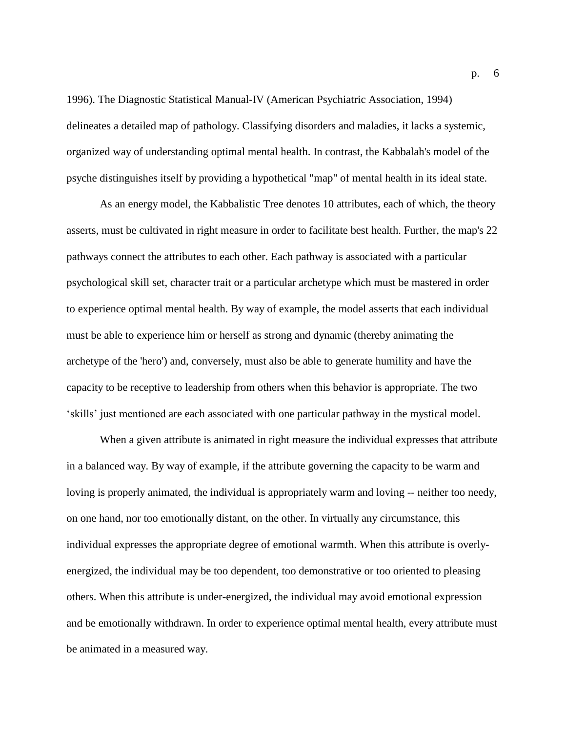1996). The Diagnostic Statistical Manual-IV (American Psychiatric Association, 1994) delineates a detailed map of pathology. Classifying disorders and maladies, it lacks a systemic, organized way of understanding optimal mental health. In contrast, the Kabbalah's model of the psyche distinguishes itself by providing a hypothetical "map" of mental health in its ideal state.

As an energy model, the Kabbalistic Tree denotes 10 attributes, each of which, the theory asserts, must be cultivated in right measure in order to facilitate best health. Further, the map's 22 pathways connect the attributes to each other. Each pathway is associated with a particular psychological skill set, character trait or a particular archetype which must be mastered in order to experience optimal mental health. By way of example, the model asserts that each individual must be able to experience him or herself as strong and dynamic (thereby animating the archetype of the 'hero') and, conversely, must also be able to generate humility and have the capacity to be receptive to leadership from others when this behavior is appropriate. The two 'skills' just mentioned are each associated with one particular pathway in the mystical model.

When a given attribute is animated in right measure the individual expresses that attribute in a balanced way. By way of example, if the attribute governing the capacity to be warm and loving is properly animated, the individual is appropriately warm and loving -- neither too needy, on one hand, nor too emotionally distant, on the other. In virtually any circumstance, this individual expresses the appropriate degree of emotional warmth. When this attribute is overlyenergized, the individual may be too dependent, too demonstrative or too oriented to pleasing others. When this attribute is under-energized, the individual may avoid emotional expression and be emotionally withdrawn. In order to experience optimal mental health, every attribute must be animated in a measured way.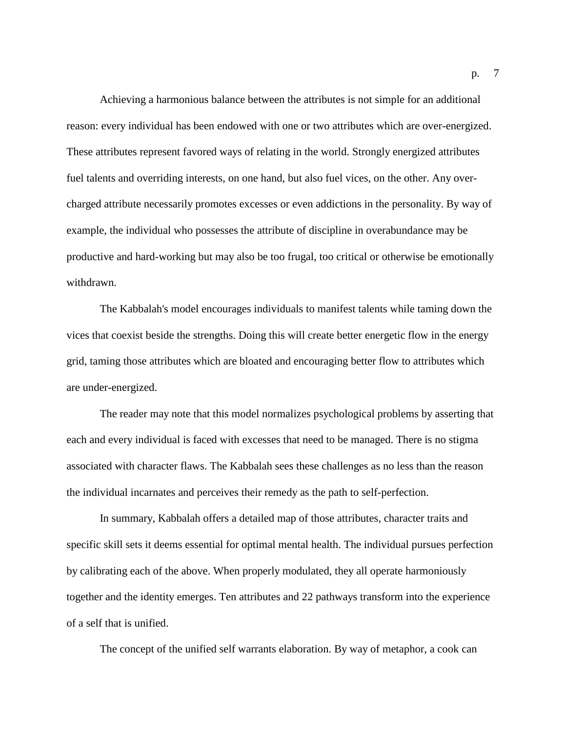Achieving a harmonious balance between the attributes is not simple for an additional reason: every individual has been endowed with one or two attributes which are over-energized. These attributes represent favored ways of relating in the world. Strongly energized attributes fuel talents and overriding interests, on one hand, but also fuel vices, on the other. Any overcharged attribute necessarily promotes excesses or even addictions in the personality. By way of example, the individual who possesses the attribute of discipline in overabundance may be productive and hard-working but may also be too frugal, too critical or otherwise be emotionally withdrawn.

The Kabbalah's model encourages individuals to manifest talents while taming down the vices that coexist beside the strengths. Doing this will create better energetic flow in the energy grid, taming those attributes which are bloated and encouraging better flow to attributes which are under-energized.

The reader may note that this model normalizes psychological problems by asserting that each and every individual is faced with excesses that need to be managed. There is no stigma associated with character flaws. The Kabbalah sees these challenges as no less than the reason the individual incarnates and perceives their remedy as the path to self-perfection.

In summary, Kabbalah offers a detailed map of those attributes, character traits and specific skill sets it deems essential for optimal mental health. The individual pursues perfection by calibrating each of the above. When properly modulated, they all operate harmoniously together and the identity emerges. Ten attributes and 22 pathways transform into the experience of a self that is unified.

The concept of the unified self warrants elaboration. By way of metaphor, a cook can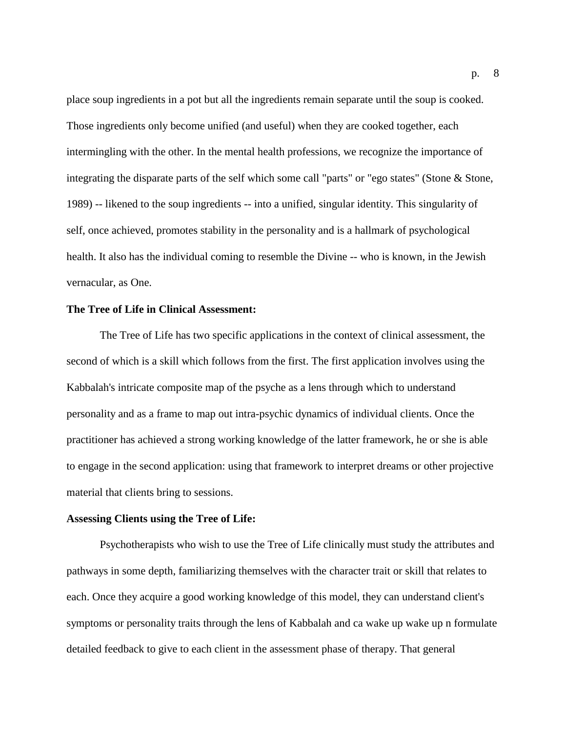place soup ingredients in a pot but all the ingredients remain separate until the soup is cooked. Those ingredients only become unified (and useful) when they are cooked together, each intermingling with the other. In the mental health professions, we recognize the importance of integrating the disparate parts of the self which some call "parts" or "ego states" (Stone & Stone, 1989) -- likened to the soup ingredients -- into a unified, singular identity. This singularity of self, once achieved, promotes stability in the personality and is a hallmark of psychological health. It also has the individual coming to resemble the Divine -- who is known, in the Jewish vernacular, as One.

#### **The Tree of Life in Clinical Assessment:**

The Tree of Life has two specific applications in the context of clinical assessment, the second of which is a skill which follows from the first. The first application involves using the Kabbalah's intricate composite map of the psyche as a lens through which to understand personality and as a frame to map out intra-psychic dynamics of individual clients. Once the practitioner has achieved a strong working knowledge of the latter framework, he or she is able to engage in the second application: using that framework to interpret dreams or other projective material that clients bring to sessions.

## **Assessing Clients using the Tree of Life:**

Psychotherapists who wish to use the Tree of Life clinically must study the attributes and pathways in some depth, familiarizing themselves with the character trait or skill that relates to each. Once they acquire a good working knowledge of this model, they can understand client's symptoms or personality traits through the lens of Kabbalah and ca wake up wake up n formulate detailed feedback to give to each client in the assessment phase of therapy. That general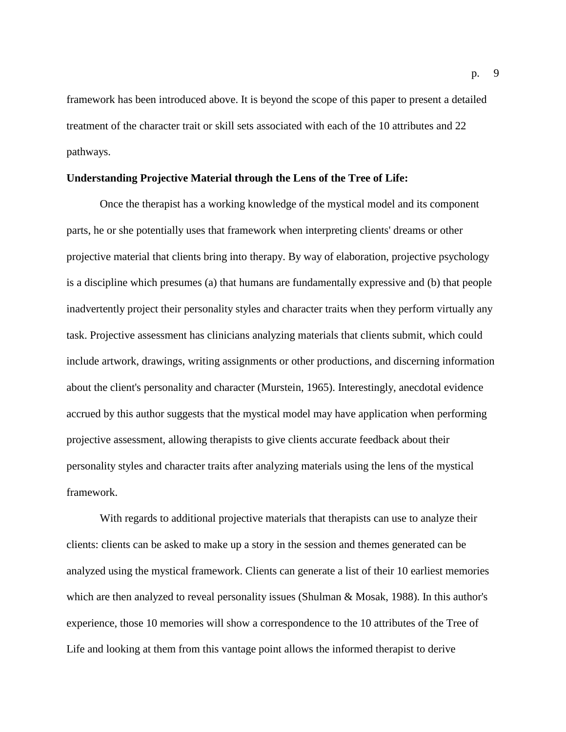framework has been introduced above. It is beyond the scope of this paper to present a detailed treatment of the character trait or skill sets associated with each of the 10 attributes and 22 pathways.

### **Understanding Projective Material through the Lens of the Tree of Life:**

Once the therapist has a working knowledge of the mystical model and its component parts, he or she potentially uses that framework when interpreting clients' dreams or other projective material that clients bring into therapy. By way of elaboration, projective psychology is a discipline which presumes (a) that humans are fundamentally expressive and (b) that people inadvertently project their personality styles and character traits when they perform virtually any task. Projective assessment has clinicians analyzing materials that clients submit, which could include artwork, drawings, writing assignments or other productions, and discerning information about the client's personality and character (Murstein, 1965). Interestingly, anecdotal evidence accrued by this author suggests that the mystical model may have application when performing projective assessment, allowing therapists to give clients accurate feedback about their personality styles and character traits after analyzing materials using the lens of the mystical framework.

With regards to additional projective materials that therapists can use to analyze their clients: clients can be asked to make up a story in the session and themes generated can be analyzed using the mystical framework. Clients can generate a list of their 10 earliest memories which are then analyzed to reveal personality issues (Shulman & Mosak, 1988). In this author's experience, those 10 memories will show a correspondence to the 10 attributes of the Tree of Life and looking at them from this vantage point allows the informed therapist to derive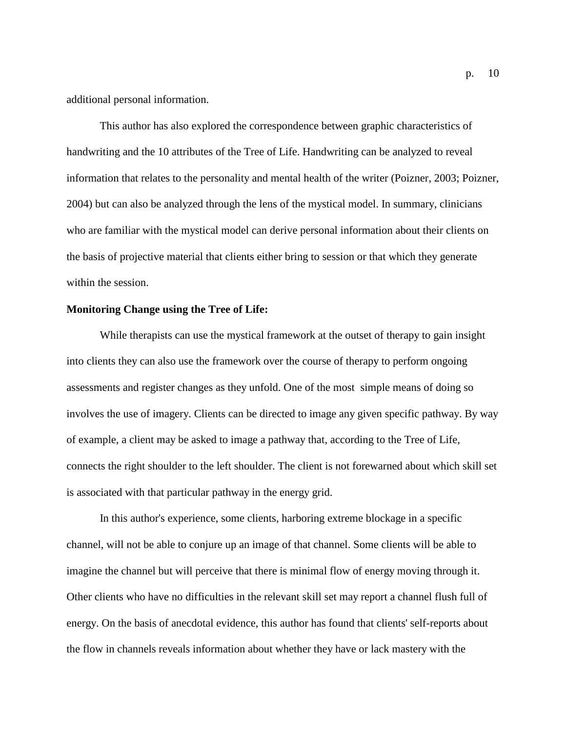additional personal information.

This author has also explored the correspondence between graphic characteristics of handwriting and the 10 attributes of the Tree of Life. Handwriting can be analyzed to reveal information that relates to the personality and mental health of the writer (Poizner, 2003; Poizner, 2004) but can also be analyzed through the lens of the mystical model. In summary, clinicians who are familiar with the mystical model can derive personal information about their clients on the basis of projective material that clients either bring to session or that which they generate within the session.

#### **Monitoring Change using the Tree of Life:**

While therapists can use the mystical framework at the outset of therapy to gain insight into clients they can also use the framework over the course of therapy to perform ongoing assessments and register changes as they unfold. One of the most simple means of doing so involves the use of imagery. Clients can be directed to image any given specific pathway. By way of example, a client may be asked to image a pathway that, according to the Tree of Life, connects the right shoulder to the left shoulder. The client is not forewarned about which skill set is associated with that particular pathway in the energy grid.

In this author's experience, some clients, harboring extreme blockage in a specific channel, will not be able to conjure up an image of that channel. Some clients will be able to imagine the channel but will perceive that there is minimal flow of energy moving through it. Other clients who have no difficulties in the relevant skill set may report a channel flush full of energy. On the basis of anecdotal evidence, this author has found that clients' self-reports about the flow in channels reveals information about whether they have or lack mastery with the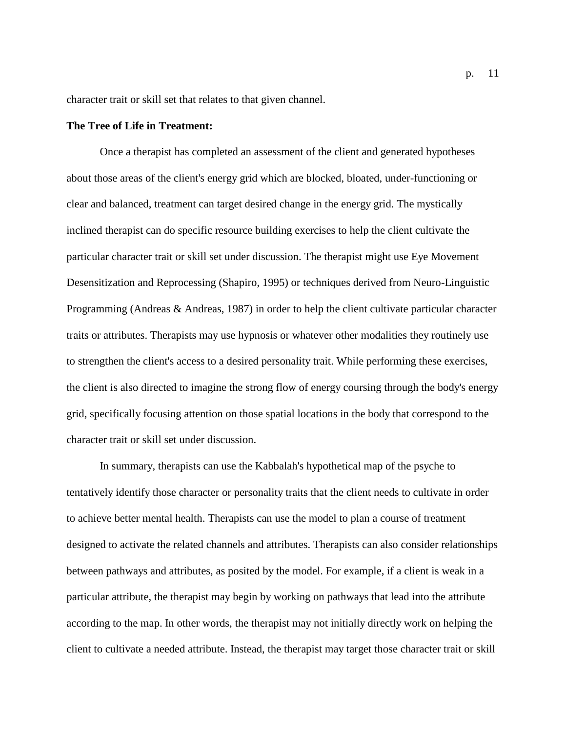character trait or skill set that relates to that given channel.

### **The Tree of Life in Treatment:**

Once a therapist has completed an assessment of the client and generated hypotheses about those areas of the client's energy grid which are blocked, bloated, under-functioning or clear and balanced, treatment can target desired change in the energy grid. The mystically inclined therapist can do specific resource building exercises to help the client cultivate the particular character trait or skill set under discussion. The therapist might use Eye Movement Desensitization and Reprocessing (Shapiro, 1995) or techniques derived from Neuro-Linguistic Programming (Andreas & Andreas, 1987) in order to help the client cultivate particular character traits or attributes. Therapists may use hypnosis or whatever other modalities they routinely use to strengthen the client's access to a desired personality trait. While performing these exercises, the client is also directed to imagine the strong flow of energy coursing through the body's energy grid, specifically focusing attention on those spatial locations in the body that correspond to the character trait or skill set under discussion.

In summary, therapists can use the Kabbalah's hypothetical map of the psyche to tentatively identify those character or personality traits that the client needs to cultivate in order to achieve better mental health. Therapists can use the model to plan a course of treatment designed to activate the related channels and attributes. Therapists can also consider relationships between pathways and attributes, as posited by the model. For example, if a client is weak in a particular attribute, the therapist may begin by working on pathways that lead into the attribute according to the map. In other words, the therapist may not initially directly work on helping the client to cultivate a needed attribute. Instead, the therapist may target those character trait or skill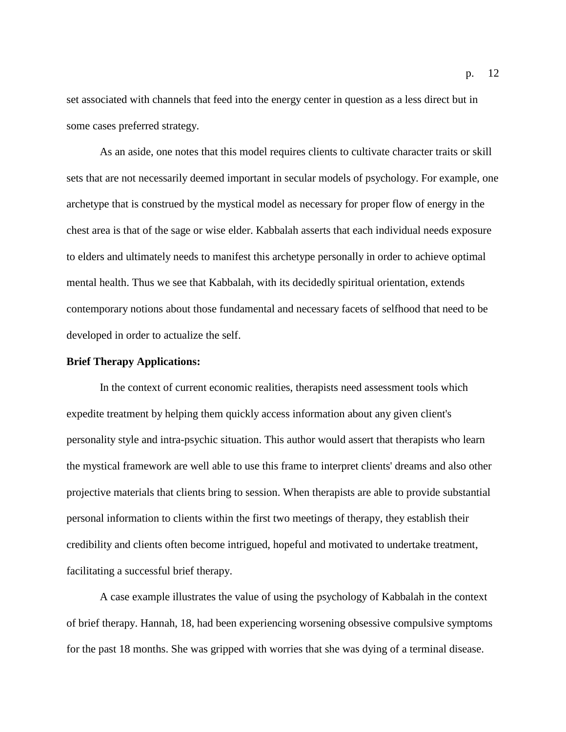set associated with channels that feed into the energy center in question as a less direct but in some cases preferred strategy.

As an aside, one notes that this model requires clients to cultivate character traits or skill sets that are not necessarily deemed important in secular models of psychology. For example, one archetype that is construed by the mystical model as necessary for proper flow of energy in the chest area is that of the sage or wise elder. Kabbalah asserts that each individual needs exposure to elders and ultimately needs to manifest this archetype personally in order to achieve optimal mental health. Thus we see that Kabbalah, with its decidedly spiritual orientation, extends contemporary notions about those fundamental and necessary facets of selfhood that need to be developed in order to actualize the self.

### **Brief Therapy Applications:**

In the context of current economic realities, therapists need assessment tools which expedite treatment by helping them quickly access information about any given client's personality style and intra-psychic situation. This author would assert that therapists who learn the mystical framework are well able to use this frame to interpret clients' dreams and also other projective materials that clients bring to session. When therapists are able to provide substantial personal information to clients within the first two meetings of therapy, they establish their credibility and clients often become intrigued, hopeful and motivated to undertake treatment, facilitating a successful brief therapy.

A case example illustrates the value of using the psychology of Kabbalah in the context of brief therapy. Hannah, 18, had been experiencing worsening obsessive compulsive symptoms for the past 18 months. She was gripped with worries that she was dying of a terminal disease.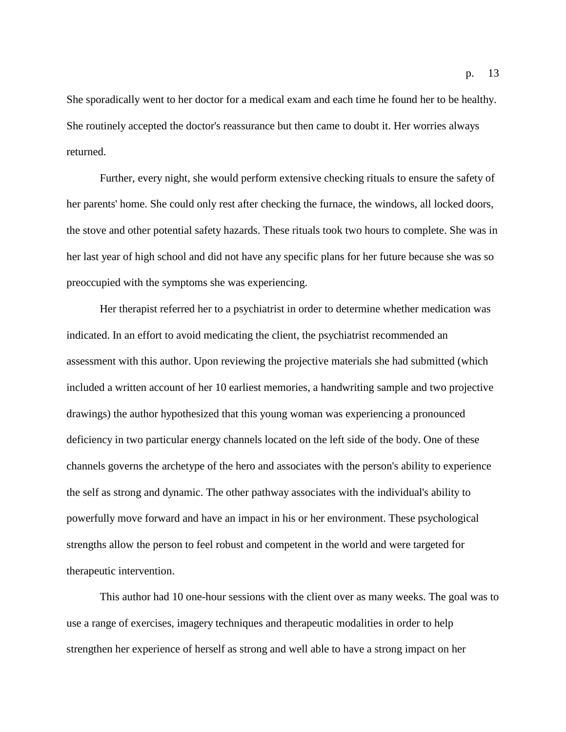She sporadically went to her doctor for a medical exam and each time he found her to be healthy. She routinely accepted the doctor's reassurance but then came to doubt it. Her worries always returned.

Further, every night, she would perform extensive checking rituals to ensure the safety of her parents' home. She could only rest after checking the furnace, the windows, all locked doors, the stove and other potential safety hazards. These rituals took two hours to complete. She was in her last year of high school and did not have any specific plans for her future because she was so preoccupied with the symptoms she was experiencing.

Her therapist referred her to a psychiatrist in order to determine whether medication was indicated. In an effort to avoid medicating the client, the psychiatrist recommended an assessment with this author. Upon reviewing the projective materials she had submitted (which included a written account of her 10 earliest memories, a handwriting sample and two projective drawings) the author hypothesized that this young woman was experiencing a pronounced deficiency in two particular energy channels located on the left side of the body. One of these channels governs the archetype of the hero and associates with the person's ability to experience the self as strong and dynamic. The other pathway associates with the individual's ability to powerfully move forward and have an impact in his or her environment. These psychological strengths allow the person to feel robust and competent in the world and were targeted for therapeutic intervention.

This author had 10 one-hour sessions with the client over as many weeks. The goal was to use a range of exercises, imagery techniques and therapeutic modalities in order to help strengthen her experience of herself as strong and well able to have a strong impact on her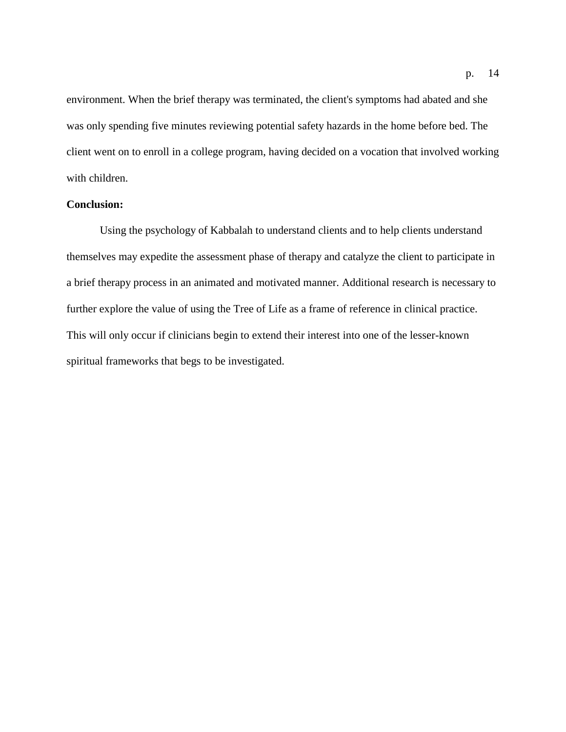environment. When the brief therapy was terminated, the client's symptoms had abated and she was only spending five minutes reviewing potential safety hazards in the home before bed. The client went on to enroll in a college program, having decided on a vocation that involved working with children.

# **Conclusion:**

Using the psychology of Kabbalah to understand clients and to help clients understand themselves may expedite the assessment phase of therapy and catalyze the client to participate in a brief therapy process in an animated and motivated manner. Additional research is necessary to further explore the value of using the Tree of Life as a frame of reference in clinical practice. This will only occur if clinicians begin to extend their interest into one of the lesser-known spiritual frameworks that begs to be investigated.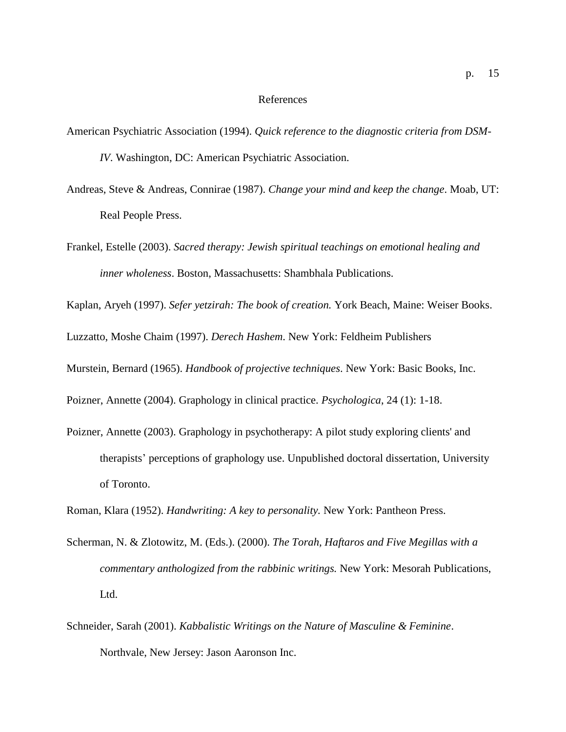#### References

- American Psychiatric Association (1994). *Quick reference to the diagnostic criteria from DSM-IV*. Washington, DC: American Psychiatric Association.
- Andreas, Steve & Andreas, Connirae (1987). *Change your mind and keep the change*. Moab, UT: Real People Press.
- Frankel, Estelle (2003). *Sacred therapy: Jewish spiritual teachings on emotional healing and inner wholeness*. Boston, Massachusetts: Shambhala Publications.

Kaplan, Aryeh (1997). *Sefer yetzirah: The book of creation.* York Beach, Maine: Weiser Books.

Luzzatto, Moshe Chaim (1997). *Derech Hashem*. New York: Feldheim Publishers

Murstein, Bernard (1965). *Handbook of projective techniques*. New York: Basic Books, Inc.

Poizner, Annette (2004). Graphology in clinical practice. *Psychologica*, 24 (1): 1-18.

Poizner, Annette (2003). Graphology in psychotherapy: A pilot study exploring clients' and therapists' perceptions of graphology use. Unpublished doctoral dissertation, University of Toronto.

Roman, Klara (1952). *Handwriting: A key to personality.* New York: Pantheon Press.

- Scherman, N. & Zlotowitz, M. (Eds.). (2000). *The Torah, Haftaros and Five Megillas with a commentary anthologized from the rabbinic writings.* New York: Mesorah Publications, Ltd.
- Schneider, Sarah (2001). *Kabbalistic Writings on the Nature of Masculine & Feminine*. Northvale, New Jersey: Jason Aaronson Inc.